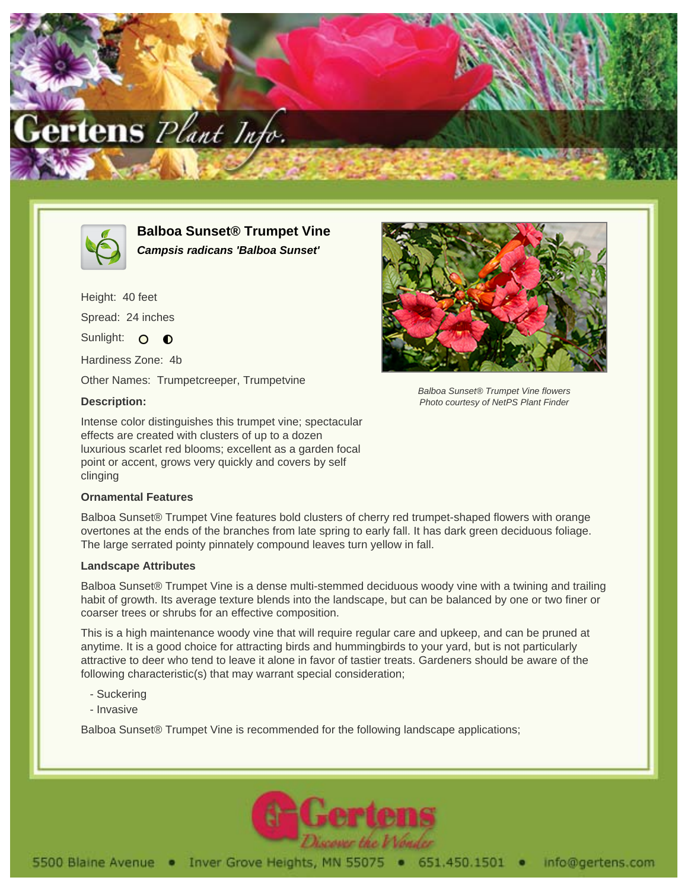



**Balboa Sunset® Trumpet Vine Campsis radicans 'Balboa Sunset'**

Height: 40 feet Spread: 24 inches Sunlight: O O

Hardiness Zone: 4b

Other Names: Trumpetcreeper, Trumpetvine

## **Description:**

Intense color distinguishes this trumpet vine; spectacular effects are created with clusters of up to a dozen luxurious scarlet red blooms; excellent as a garden focal point or accent, grows very quickly and covers by self clinging

## **Ornamental Features**

Balboa Sunset® Trumpet Vine features bold clusters of cherry red trumpet-shaped flowers with orange overtones at the ends of the branches from late spring to early fall. It has dark green deciduous foliage. The large serrated pointy pinnately compound leaves turn yellow in fall.

## **Landscape Attributes**

Balboa Sunset® Trumpet Vine is a dense multi-stemmed deciduous woody vine with a twining and trailing habit of growth. Its average texture blends into the landscape, but can be balanced by one or two finer or coarser trees or shrubs for an effective composition.

This is a high maintenance woody vine that will require regular care and upkeep, and can be pruned at anytime. It is a good choice for attracting birds and hummingbirds to your yard, but is not particularly attractive to deer who tend to leave it alone in favor of tastier treats. Gardeners should be aware of the following characteristic(s) that may warrant special consideration;

- Suckering
- Invasive

Balboa Sunset® Trumpet Vine is recommended for the following landscape applications;





Balboa Sunset® Trumpet Vine flowers Photo courtesy of NetPS Plant Finder